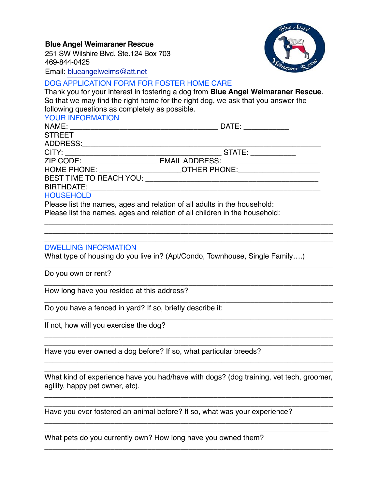251 SW Wilshire Blvd. Ste.124 Box 703 469-844-0425 **Blue Angel Weimaraner Rescue**



Email: [blueangelweims@att.net](mailto:blueangelweims@att.net)

## DOG APPLICATION FORM FOR FOSTER HOME CARE

Thank you for your interest in fostering a dog from **Blue Angel Weimaraner Rescue**. So that we may find the right home for the right dog, we ask that you answer the following questions as completely as possible.

### YOUR INFORMATION

NAME: \_\_\_\_\_\_\_\_\_\_\_\_\_\_\_\_\_\_\_\_\_\_\_\_\_\_\_\_\_\_\_\_\_\_\_\_ DATE: \_\_\_\_\_\_\_\_\_\_\_ **STREET** 

ADDRESS:\_\_\_\_\_\_\_\_\_\_\_\_\_\_\_\_\_\_\_\_\_\_\_\_\_\_\_\_\_\_\_\_\_\_\_\_\_\_\_\_\_\_\_\_\_\_\_\_\_\_\_\_\_\_\_\_\_\_

CITY: \_\_\_\_\_\_\_\_\_\_\_\_\_\_\_\_\_\_\_\_\_\_\_\_\_\_\_\_\_\_\_\_\_\_\_\_\_\_ STATE: \_\_\_\_\_\_\_\_\_\_\_

ZIP CODE: \_\_\_\_\_\_\_\_\_\_\_\_\_\_\_\_\_\_\_\_\_\_\_ EMAIL ADDRESS: \_\_\_\_\_\_\_\_\_\_\_\_\_\_\_\_\_\_\_\_\_\_\_\_\_\_\_\_\_\_\_

HOME PHONE: \_\_\_\_\_\_\_\_\_\_\_\_\_\_\_\_\_\_\_\_OTHER PHONE:\_\_\_\_\_\_\_\_\_\_\_\_\_\_\_\_\_\_\_\_

\_\_\_\_\_\_\_\_\_\_\_\_\_\_\_\_\_\_\_\_\_\_\_\_\_\_\_\_\_\_\_\_\_\_\_\_\_\_\_\_\_\_\_\_\_\_\_\_\_\_\_\_\_\_\_\_\_\_\_\_\_\_\_\_\_\_\_\_\_\_ \_\_\_\_\_\_\_\_\_\_\_\_\_\_\_\_\_\_\_\_\_\_\_\_\_\_\_\_\_\_\_\_\_\_\_\_\_\_\_\_\_\_\_\_\_\_\_\_\_\_\_\_\_\_\_\_\_\_\_\_\_\_\_\_\_\_\_\_\_\_

BEST TIME TO REACH YOU: \_\_\_\_\_\_\_\_\_\_\_\_\_\_\_\_\_\_\_\_\_\_\_\_\_\_\_\_\_\_\_\_\_\_\_\_\_\_\_\_\_\_

BIRTHDATE:

# **HOUSEHOLD**

Please list the names, ages and relation of all adults in the household: Please list the names, ages and relation of all children in the household:

#### \_\_\_\_\_\_\_\_\_\_\_\_\_\_\_\_\_\_\_\_\_\_\_\_\_\_\_\_\_\_\_\_\_\_\_\_\_\_\_\_\_\_\_\_\_\_\_\_\_\_\_\_\_\_\_\_\_\_\_\_\_\_\_\_\_\_\_\_\_\_ DWELLING INFORMATION

What type of housing do you live in? (Apt/Condo, Townhouse, Single Family....)

\_\_\_\_\_\_\_\_\_\_\_\_\_\_\_\_\_\_\_\_\_\_\_\_\_\_\_\_\_\_\_\_\_\_\_\_\_\_\_\_\_\_\_\_\_\_\_\_\_\_\_\_\_\_\_\_\_\_\_\_\_\_\_\_\_\_\_\_\_\_ Do you own or rent?

\_\_\_\_\_\_\_\_\_\_\_\_\_\_\_\_\_\_\_\_\_\_\_\_\_\_\_\_\_\_\_\_\_\_\_\_\_\_\_\_\_\_\_\_\_\_\_\_\_\_\_\_\_\_\_\_\_\_\_\_\_\_\_\_\_\_\_\_\_\_ How long have you resided at this address?

\_\_\_\_\_\_\_\_\_\_\_\_\_\_\_\_\_\_\_\_\_\_\_\_\_\_\_\_\_\_\_\_\_\_\_\_\_\_\_\_\_\_\_\_\_\_\_\_\_\_\_\_\_\_\_\_\_\_\_\_\_\_\_\_\_\_\_\_\_\_ Do you have a fenced in yard? If so, briefly describe it:

\_\_\_\_\_\_\_\_\_\_\_\_\_\_\_\_\_\_\_\_\_\_\_\_\_\_\_\_\_\_\_\_\_\_\_\_\_\_\_\_\_\_\_\_\_\_\_\_\_\_\_\_\_\_\_\_\_\_\_\_\_\_\_\_\_\_\_\_\_\_ If not, how will you exercise the dog?

\_\_\_\_\_\_\_\_\_\_\_\_\_\_\_\_\_\_\_\_\_\_\_\_\_\_\_\_\_\_\_\_\_\_\_\_\_\_\_\_\_\_\_\_\_\_\_\_\_\_\_\_\_\_\_\_\_\_\_\_\_\_\_\_\_\_\_\_\_\_ Have you ever owned a dog before? If so, what particular breeds?

\_\_\_\_\_\_\_\_\_\_\_\_\_\_\_\_\_\_\_\_\_\_\_\_\_\_\_\_\_\_\_\_\_\_\_\_\_\_\_\_\_\_\_\_\_\_\_\_\_\_\_\_\_\_\_\_\_\_\_\_\_\_\_\_\_\_\_\_\_\_ What kind of experience have you had/have with dogs? (dog training, vet tech, groomer, agility, happy pet owner, etc).

\_\_\_\_\_\_\_\_\_\_\_\_\_\_\_\_\_\_\_\_\_\_\_\_\_\_\_\_\_\_\_\_\_\_\_\_\_\_\_\_\_\_\_\_\_\_\_\_\_\_\_\_\_\_\_\_\_\_\_\_\_\_\_\_\_\_\_\_\_\_ \_\_\_\_\_\_\_\_\_\_\_\_\_\_\_\_\_\_\_\_\_\_\_\_\_\_\_\_\_\_\_\_\_\_\_\_\_\_\_\_\_\_\_\_\_\_\_\_\_\_\_\_\_\_\_\_\_\_\_\_\_\_\_\_\_\_\_\_\_\_

\_\_\_\_\_\_\_\_\_\_\_\_\_\_\_\_\_\_\_\_\_\_\_\_\_\_\_\_\_\_\_\_\_\_\_\_\_\_\_\_\_\_\_\_\_\_\_\_\_\_\_\_\_\_\_\_\_\_\_\_\_\_\_\_\_\_\_\_\_\_ \_\_\_\_\_\_\_\_\_\_\_\_\_\_\_\_\_\_\_\_\_\_\_\_\_\_\_\_\_\_\_\_\_\_\_\_\_\_\_\_\_\_\_\_\_\_\_\_\_\_\_\_\_\_\_\_\_\_\_\_\_\_\_\_\_\_\_\_\_

\_\_\_\_\_\_\_\_\_\_\_\_\_\_\_\_\_\_\_\_\_\_\_\_\_\_\_\_\_\_\_\_\_\_\_\_\_\_\_\_\_\_\_\_\_\_\_\_\_\_\_\_\_\_\_\_\_\_\_\_\_\_\_\_\_\_\_\_\_\_

\_\_\_\_\_\_\_\_\_\_\_\_\_\_\_\_\_\_\_\_\_\_\_\_\_\_\_\_\_\_\_\_\_\_\_\_\_\_\_\_\_\_\_\_\_\_\_\_\_\_\_\_\_\_\_\_\_\_\_\_\_\_\_\_\_\_\_\_\_\_

 $\overline{\phantom{a}}$  , and the contribution of the contribution of the contribution of the contribution of the contribution of the contribution of the contribution of the contribution of the contribution of the contribution of the

Have you ever fostered an animal before? If so, what was your experience?

What pets do you currently own? How long have you owned them?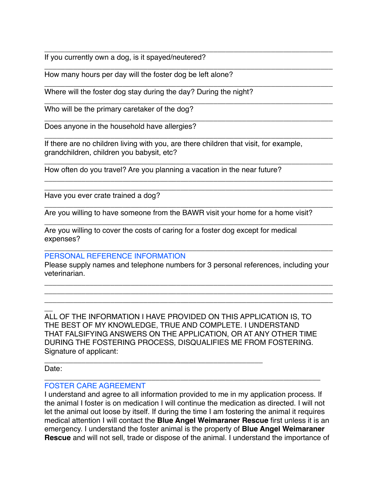\_\_\_\_\_\_\_\_\_\_\_\_\_\_\_\_\_\_\_\_\_\_\_\_\_\_\_\_\_\_\_\_\_\_\_\_\_\_\_\_\_\_\_\_\_\_\_\_\_\_\_\_\_\_\_\_\_\_\_\_\_\_\_\_\_\_\_\_\_\_ If you currently own a dog, is it spayed/neutered?

How many hours per day will the foster dog be left alone?

Where will the foster dog stay during the day? During the night?

Who will be the primary caretaker of the dog?

Does anyone in the household have allergies?

If there are no children living with you, are there children that visit, for example, grandchildren, children you babysit, etc?

\_\_\_\_\_\_\_\_\_\_\_\_\_\_\_\_\_\_\_\_\_\_\_\_\_\_\_\_\_\_\_\_\_\_\_\_\_\_\_\_\_\_\_\_\_\_\_\_\_\_\_\_\_\_\_\_\_\_\_\_\_\_\_\_\_\_\_\_\_\_

\_\_\_\_\_\_\_\_\_\_\_\_\_\_\_\_\_\_\_\_\_\_\_\_\_\_\_\_\_\_\_\_\_\_\_\_\_\_\_\_\_\_\_\_\_\_\_\_\_\_\_\_\_\_\_\_\_\_\_\_\_\_\_\_\_\_\_\_\_\_

\_\_\_\_\_\_\_\_\_\_\_\_\_\_\_\_\_\_\_\_\_\_\_\_\_\_\_\_\_\_\_\_\_\_\_\_\_\_\_\_\_\_\_\_\_\_\_\_\_\_\_\_\_\_\_\_\_\_\_\_\_\_\_\_\_\_\_\_\_\_

\_\_\_\_\_\_\_\_\_\_\_\_\_\_\_\_\_\_\_\_\_\_\_\_\_\_\_\_\_\_\_\_\_\_\_\_\_\_\_\_\_\_\_\_\_\_\_\_\_\_\_\_\_\_\_\_\_\_\_\_\_\_\_\_\_\_\_\_\_\_

\_\_\_\_\_\_\_\_\_\_\_\_\_\_\_\_\_\_\_\_\_\_\_\_\_\_\_\_\_\_\_\_\_\_\_\_\_\_\_\_\_\_\_\_\_\_\_\_\_\_\_\_\_\_\_\_\_\_\_\_\_\_\_\_\_\_\_\_\_\_

\_\_\_\_\_\_\_\_\_\_\_\_\_\_\_\_\_\_\_\_\_\_\_\_\_\_\_\_\_\_\_\_\_\_\_\_\_\_\_\_\_\_\_\_\_\_\_\_\_\_\_\_\_\_\_\_\_\_\_\_\_\_\_\_\_\_\_\_\_\_

\_\_\_\_\_\_\_\_\_\_\_\_\_\_\_\_\_\_\_\_\_\_\_\_\_\_\_\_\_\_\_\_\_\_\_\_\_\_\_\_\_\_\_\_\_\_\_\_\_\_\_\_\_\_\_\_\_\_\_\_\_\_\_\_\_\_\_\_\_\_ \_\_\_\_\_\_\_\_\_\_\_\_\_\_\_\_\_\_\_\_\_\_\_\_\_\_\_\_\_\_\_\_\_\_\_\_\_\_\_\_\_\_\_\_\_\_\_\_\_\_\_\_\_\_\_\_\_\_\_\_\_\_\_\_\_\_\_\_\_\_

\_\_\_\_\_\_\_\_\_\_\_\_\_\_\_\_\_\_\_\_\_\_\_\_\_\_\_\_\_\_\_\_\_\_\_\_\_\_\_\_\_\_\_\_\_\_\_\_\_\_\_\_\_\_\_\_\_\_\_\_\_\_\_\_\_\_\_\_\_\_

\_\_\_\_\_\_\_\_\_\_\_\_\_\_\_\_\_\_\_\_\_\_\_\_\_\_\_\_\_\_\_\_\_\_\_\_\_\_\_\_\_\_\_\_\_\_\_\_\_\_\_\_\_\_\_\_\_\_\_\_\_\_\_\_\_\_\_\_\_\_

How often do you travel? Are you planning a vacation in the near future?

Have you ever crate trained a dog?

\_\_\_\_\_\_\_\_\_\_\_\_\_\_\_\_\_\_\_\_\_\_\_\_\_\_\_\_\_\_\_\_\_\_\_\_\_\_\_\_\_\_\_\_\_\_\_\_\_\_\_\_\_\_\_\_\_\_\_\_\_\_\_\_\_\_\_\_\_\_ Are you willing to have someone from the BAWR visit your home for a home visit?

Are you willing to cover the costs of caring for a foster dog except for medical expenses?

#### PERSONAL REFERENCE INFORMATION

Please supply names and telephone numbers for 3 personal references, including your veterinarian.

\_\_\_\_\_\_\_\_\_\_\_\_\_\_\_\_\_\_\_\_\_\_\_\_\_\_\_\_\_\_\_\_\_\_\_\_\_\_\_\_\_\_\_\_\_\_\_\_\_\_\_\_\_\_\_\_\_\_\_\_\_\_\_\_\_\_\_\_\_\_ \_\_\_\_\_\_\_\_\_\_\_\_\_\_\_\_\_\_\_\_\_\_\_\_\_\_\_\_\_\_\_\_\_\_\_\_\_\_\_\_\_\_\_\_\_\_\_\_\_\_\_\_\_\_\_\_\_\_\_\_\_\_\_\_\_\_\_\_\_\_ \_\_\_\_\_\_\_\_\_\_\_\_\_\_\_\_\_\_\_\_\_\_\_\_\_\_\_\_\_\_\_\_\_\_\_\_\_\_\_\_\_\_\_\_\_\_\_\_\_\_\_\_\_\_\_\_\_\_\_\_\_\_\_\_\_\_\_\_\_\_

 $\overline{\phantom{a}}$ ALL OF THE INFORMATION I HAVE PROVIDED ON THIS APPLICATION IS, TO THE BEST OF MY KNOWLEDGE, TRUE AND COMPLETE. I UNDERSTAND THAT FALSIFYING ANSWERS ON THE APPLICATION, OR AT ANY OTHER TIME DURING THE FOSTERING PROCESS, DISQUALIFIES ME FROM FOSTERING. Signature of applicant:

\_\_\_\_\_\_\_\_\_\_\_\_\_\_\_\_\_\_\_\_\_\_\_\_\_\_\_\_\_\_\_\_\_\_\_\_\_\_\_\_\_\_\_\_\_\_\_\_\_\_\_\_\_\_\_\_\_\_\_\_\_\_\_\_\_\_\_

\_\_\_\_\_\_\_\_\_\_\_\_\_\_\_\_\_\_\_\_\_\_\_\_\_\_\_\_\_\_\_\_\_\_\_\_\_\_\_\_\_\_\_\_\_\_\_\_\_\_\_\_\_ Date:

#### FOSTER CARE AGREEMENT

I understand and agree to all information provided to me in my application process. If the animal I foster is on medication I will continue the medication as directed. I will not let the animal out loose by itself. If during the time I am fostering the animal it requires medical attention I will contact the **Blue Angel Weimaraner Rescue** first unless it is an emergency. I understand the foster animal is the property of **Blue Angel Weimaraner Rescue** and will not sell, trade or dispose of the animal. I understand the importance of